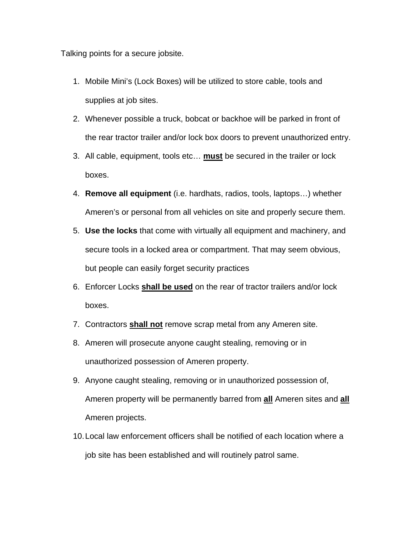Talking points for a secure jobsite.

- 1. Mobile Mini's (Lock Boxes) will be utilized to store cable, tools and supplies at job sites.
- 2. Whenever possible a truck, bobcat or backhoe will be parked in front of the rear tractor trailer and/or lock box doors to prevent unauthorized entry.
- 3. All cable, equipment, tools etc… **must** be secured in the trailer or lock boxes.
- 4. **Remove all equipment** (i.e. hardhats, radios, tools, laptops…) whether Ameren's or personal from all vehicles on site and properly secure them.
- 5. **Use the locks** that come with virtually all equipment and machinery, and secure tools in a locked area or compartment. That may seem obvious, but people can easily forget security practices
- 6. Enforcer Locks **shall be used** on the rear of tractor trailers and/or lock boxes.
- 7. Contractors **shall not** remove scrap metal from any Ameren site.
- 8. Ameren will prosecute anyone caught stealing, removing or in unauthorized possession of Ameren property.
- 9. Anyone caught stealing, removing or in unauthorized possession of, Ameren property will be permanently barred from **all** Ameren sites and **all** Ameren projects.
- 10. Local law enforcement officers shall be notified of each location where a job site has been established and will routinely patrol same.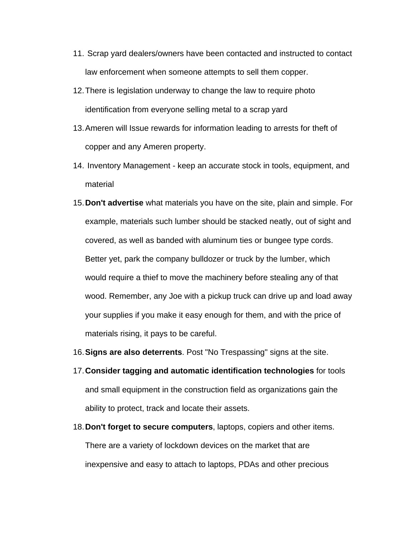- 11. Scrap yard dealers/owners have been contacted and instructed to contact law enforcement when someone attempts to sell them copper.
- 12. There is legislation underway to change the law to require photo identification from everyone selling metal to a scrap yard
- 13. Ameren will Issue rewards for information leading to arrests for theft of copper and any Ameren property.
- 14. Inventory Management keep an accurate stock in tools, equipment, and material
- 15.**Don't advertise** what materials you have on the site, plain and simple. For example, materials such lumber should be stacked neatly, out of sight and covered, as well as banded with aluminum ties or bungee type cords. Better yet, park the company bulldozer or truck by the lumber, which would require a thief to move the machinery before stealing any of that wood. Remember, any Joe with a pickup truck can drive up and load away your supplies if you make it easy enough for them, and with the price of materials rising, it pays to be careful.
- 16.**Signs are also deterrents**. Post "No Trespassing" signs at the site.
- 17.**Consider tagging and automatic identification technologies** for tools and small equipment in the construction field as organizations gain the ability to protect, track and locate their assets.
- 18.**Don't forget to secure computers**, laptops, copiers and other items. There are a variety of lockdown devices on the market that are inexpensive and easy to attach to laptops, PDAs and other precious